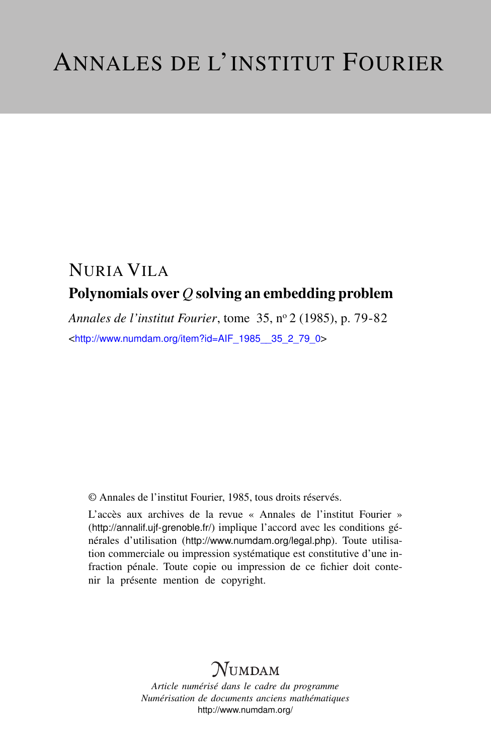## NURIA VILA Polynomials over *Q* solving an embedding problem

*Annales de l'institut Fourier*, tome 35, n<sup>o</sup> 2 (1985), p. 79-82 <[http://www.numdam.org/item?id=AIF\\_1985\\_\\_35\\_2\\_79\\_0](http://www.numdam.org/item?id=AIF_1985__35_2_79_0)>

© Annales de l'institut Fourier, 1985, tous droits réservés.

L'accès aux archives de la revue « Annales de l'institut Fourier » (<http://annalif.ujf-grenoble.fr/>) implique l'accord avec les conditions générales d'utilisation (<http://www.numdam.org/legal.php>). Toute utilisation commerciale ou impression systématique est constitutive d'une infraction pénale. Toute copie ou impression de ce fichier doit contenir la présente mention de copyright.

# NUMDAM

*Article numérisé dans le cadre du programme Numérisation de documents anciens mathématiques* <http://www.numdam.org/>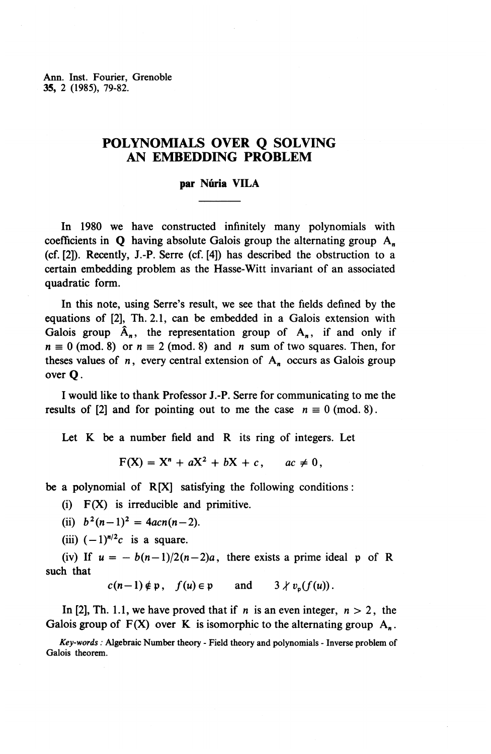Ann. Inst. Fourier, Grenoble **35,** 2 (1985), 79-82.

### **POLYNOMIALS OVER Q SOLVING AN EMBEDDING PROBLEM**

#### **par Nuria VILA**

In 1980 we have constructed infinitely many polynomials with coefficients in  $Q$  having absolute Galois group the alternating group  $A_n$ (cf. [2]). Recently, J.-P. Serre (cf. [4]) has described the obstruction to a certain embedding problem as the Hasse-Witt invariant of an associated quadratic form.

In this note, using Serre's result, we see that the fields defined by the equations of [2], Th.2.1, can be embedded in a Galois extension with Galois group  $\hat{A}_n$ , the representation group of  $A_n$ , if and only if  $n \equiv 0 \pmod{8}$  or  $n \equiv 2 \pmod{8}$  and *n* sum of two squares. Then, for theses values of  $n$ , every central extension of  $A_n$  occurs as Galois group over Q.

I would like to thank Professor J.-P. Serre for communicating to me the results of [2] and for pointing out to me the case  $n \equiv 0 \pmod{8}$ .

Let K be a number field and R its ring of integers. Let

$$
F(X) = Xn + aX2 + bX + c, \quad ac \neq 0,
$$

be a polynomial of R[X] satisfying the following conditions:

(i) F(X) is irreducible and primitive.

(ii)  $b^2(n-1)^2 = 4acn(n-2)$ .

(iii)  $(-1)^{n/2}c$  is a square.

(iv) If  $u = -b(n-1)/2(n-2)a$ , there exists a prime ideal p of R such that

 $c(n-1) \notin \mathfrak{p}$ ,  $f(u) \in \mathfrak{p}$  and  $3 \nmid v_n(f(u))$ .

In [2], Th. 1.1, we have proved that if *n* is an even integer, *n >* 2, the Galois group of  $F(X)$  over K is isomorphic to the alternating group  $A_n$ .

*Key-words :* Algebraic Number theory - Field theory and polynomials - Inverse problem of Galois theorem.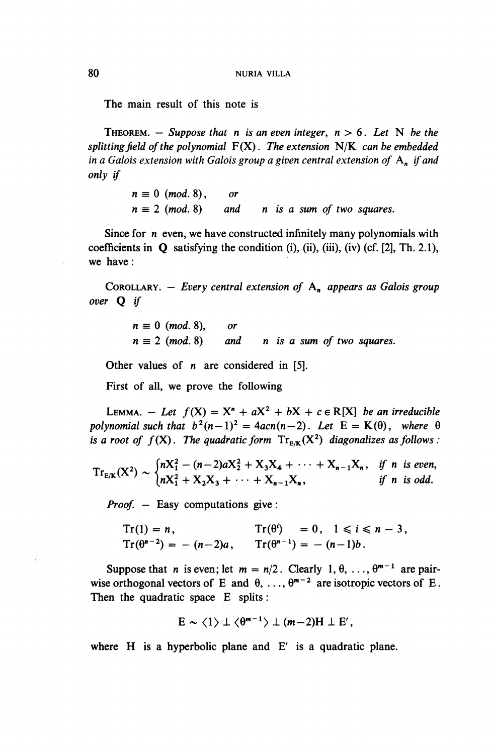The main result of this note is

THEOREM.  $-$  Suppose that *n* is an even integer,  $n > 6$ . Let N be the *splitting field of the polynomial* F(X). *The extension* N/K *can be embedded in a Galois extension with Galois group a given central extension of* A^ *if and only if*

> $n \equiv 0 \pmod{8}$ , or  $n \equiv 2 \pmod{8}$  and n is a sum of two squares.

Since for *n* even, we have constructed infinitely many polynomials with coefficients in Q satisfying the condition (i), (ii), (iii), (iv) (cf. [2], Th. 2.1), we have:

COROLLARY. – *Every central extension of*  $A_n$  *appears as Galois group over* Q *if*

> $n \equiv 0 \pmod{8}$ , or  $n \equiv 2 \pmod{8}$  and *n* is a sum of two squares.

Other values of *n* are considered in [5].

First of all, we prove the following

LEMMA.  $-$  Let  $f(X) = X^n + aX^2 + bX + c \in R[X]$  be an irreducible polynomial such that  $b^2(n-1)^2 = 4acn(n-2)$ . Let  $E = K(\theta)$ *, where*  $\theta$ *is a root of*  $f(X)$ . The quadratic form  $Tr_{E/K}(X^2)$  diagonalizes as follows :

$$
Tr_{E/K}(X^{2}) \sim \begin{cases} nX_{1}^{2}-(n-2)aX_{2}^{2}+X_{3}X_{4}+\cdots+X_{n-1}X_{n}, & \text{if } n \text{ is even,} \\ nX_{1}^{2}+X_{2}X_{3}+\cdots+X_{n-1}X_{n}, & \text{if } n \text{ is odd.} \end{cases}
$$

*Proof.* — Easy computations give:

$$
Tr(1) = n
$$
,  $Tr(\theta^i) = 0$ ,  $1 \le i \le n - 3$ ,  
\n $Tr(\theta^{n-2}) = -(n-2)a$ ,  $Tr(\theta^{n-1}) = -(n-1)b$ .

Suppose that *n* is even; let  $m = n/2$ . Clearly 1,  $\theta$ , ...,  $\theta^{m-1}$  are pairwise orthogonal vectors of E and  $\theta$ , ...,  $\theta^{m-2}$  are isotropic vectors of E. Then the quadratic space E splits:

$$
E \sim \langle 1 \rangle \perp \langle \theta^{m-1} \rangle \perp (m-2)H \perp E',
$$

where H is a hyperbolic plane and E' is a quadratic plane.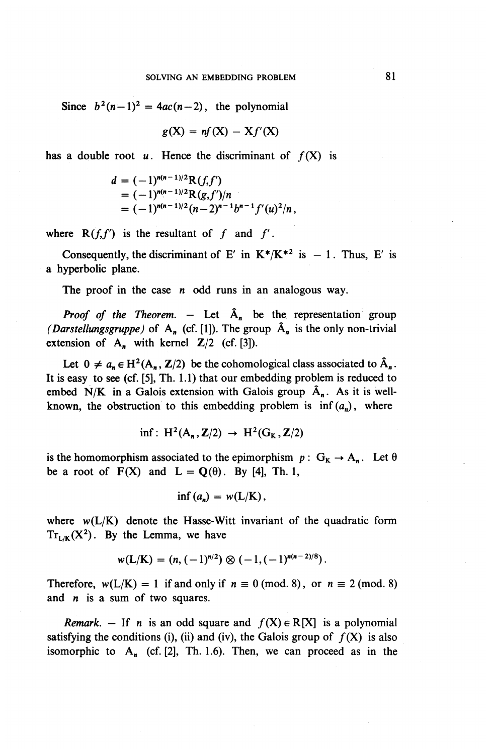Since  $b^2(n-1)^2 = 4ac(n-2)$ , the polynomial

$$
g(X) = nf(X) - Xf'(X)
$$

has a double root  $u$ . Hence the discriminant of  $f(X)$  is

$$
d = (-1)^{n(n-1)/2} R(f, f')
$$
  
= (-1)^{n(n-1)/2} R(g, f')/n  
= (-1)^{n(n-1)/2} (n-2)^{n-1} b^{n-1} f'(u)^2/n,

where  $R(f, f')$  is the resultant of f and f'.

Consequently, the discriminant of E' in  $K^*/K^{*2}$  is  $-1$ . Thus, E' is a hyperbolic plane.

The proof in the case *n* odd runs in an analogous way.

*Proof of the Theorem.*  $-$  Let  $\hat{A}_n$  be the representation group *(Darstellungsgruppe)* of  $A_n$  (cf. [1]). The group  $\hat{A}_n$  is the only non-trivial extension of  $A_n$  with kernel  $Z/2$  (cf. [3]).

Let  $0 \neq a_n \in H^2(A_n, \mathbb{Z}/2)$  be the cohomological class associated to  $\hat{A}_n$ . It is easy to see (cf. [5], Th. 1.1) that our embedding problem is reduced to embed N/K in a Galois extension with Galois group  $\hat{A}_n$ . As it is wellknown, the obstruction to this embedding problem is  $inf(a_n)$ , where

$$
\inf: H^2(A_n, \mathbf{Z}/2) \to H^2(G_K, \mathbf{Z}/2)
$$

is the homomorphism associated to the epimorphism  $p: G_K \to A_n$ . Let  $\theta$ be a root of  $F(X)$  and  $L = Q(\theta)$ . By [4], Th. 1,

$$
\inf (a_n) = w(L/K),
$$

where  $w(L/K)$  denote the Hasse-Witt invariant of the quadratic form  $Tr_{L/K}(X^2)$ . By the Lemma, we have

$$
w(L/K) = (n, (-1)^{n/2}) \otimes (-1, (-1)^{n(n-2)/8}).
$$

Therefore,  $w(L/K) = 1$  if and only if  $n \equiv 0 \pmod{8}$ , or  $n \equiv 2 \pmod{8}$ and  $n$  is a sum of two squares.

*Remark.* – If *n* is an odd square and  $f(X) \in R[X]$  is a polynomial satisfying the conditions (i), (ii) and (iv), the Galois group of  $f(X)$  is also isomorphic to  $A_n$  (cf. [2], Th. 1.6). Then, we can proceed as in the